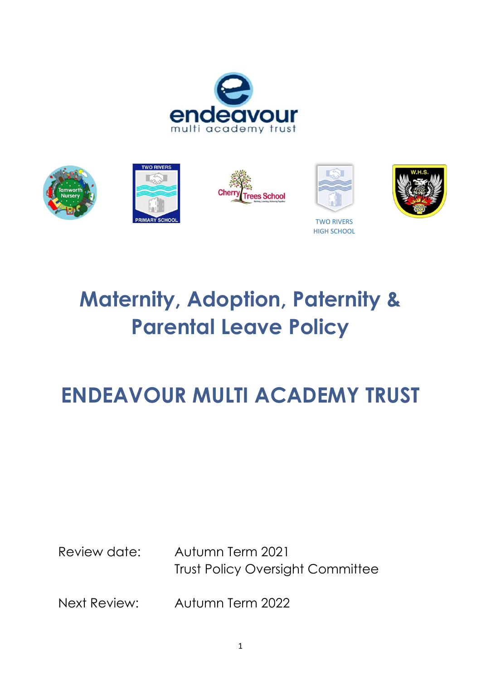



# **Maternity, Adoption, Paternity & Parental Leave Policy**

## **ENDEAVOUR MULTI ACADEMY TRUST**

Review date: Autumn Term 2021 Trust Policy Oversight Committee

Next Review: Autumn Term 2022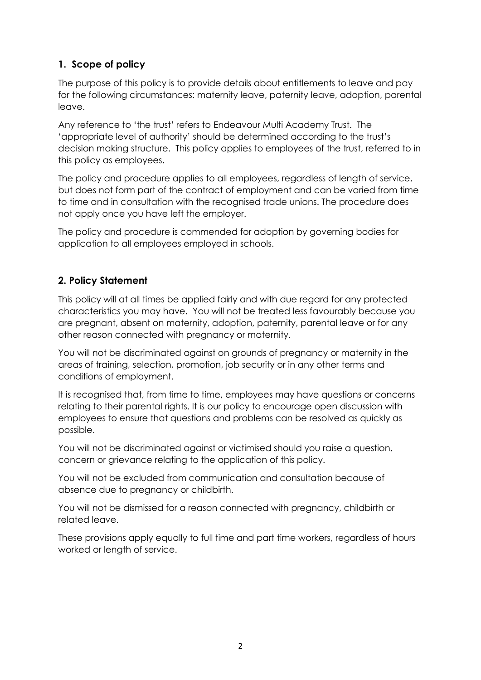## **1. Scope of policy**

The purpose of this policy is to provide details about entitlements to leave and pay for the following circumstances: maternity leave, paternity leave, adoption, parental leave.

Any reference to 'the trust' refers to Endeavour Multi Academy Trust. The 'appropriate level of authority' should be determined according to the trust's decision making structure. This policy applies to employees of the trust, referred to in this policy as employees.

The policy and procedure applies to all employees, regardless of length of service, but does not form part of the contract of employment and can be varied from time to time and in consultation with the recognised trade unions. The procedure does not apply once you have left the employer.

The policy and procedure is commended for adoption by governing bodies for application to all employees employed in schools.

## **2. Policy Statement**

This policy will at all times be applied fairly and with due regard for any protected characteristics you may have. You will not be treated less favourably because you are pregnant, absent on maternity, adoption, paternity, parental leave or for any other reason connected with pregnancy or maternity.

You will not be discriminated against on grounds of pregnancy or maternity in the areas of training, selection, promotion, job security or in any other terms and conditions of employment.

It is recognised that, from time to time, employees may have questions or concerns relating to their parental rights. It is our policy to encourage open discussion with employees to ensure that questions and problems can be resolved as quickly as possible.

You will not be discriminated against or victimised should you raise a question, concern or grievance relating to the application of this policy.

You will not be excluded from communication and consultation because of absence due to pregnancy or childbirth.

You will not be dismissed for a reason connected with pregnancy, childbirth or related leave.

These provisions apply equally to full time and part time workers, regardless of hours worked or length of service.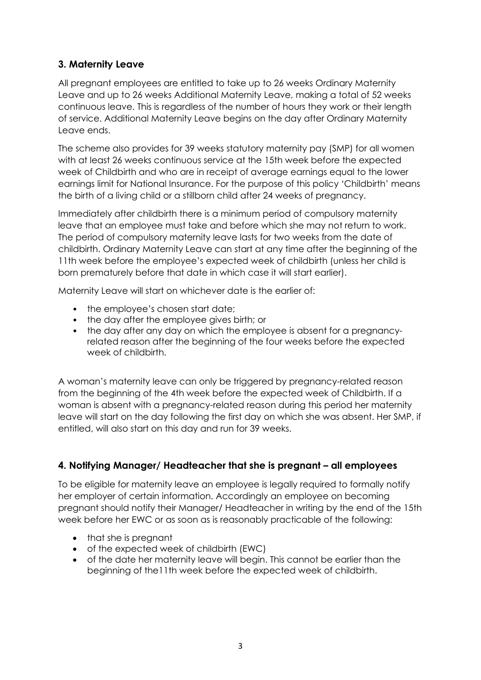## **3. Maternity Leave**

All pregnant employees are entitled to take up to 26 weeks Ordinary Maternity Leave and up to 26 weeks Additional Maternity Leave, making a total of 52 weeks continuous leave. This is regardless of the number of hours they work or their length of service. Additional Maternity Leave begins on the day after Ordinary Maternity Leave ends.

The scheme also provides for 39 weeks statutory maternity pay (SMP) for all women with at least 26 weeks continuous service at the 15th week before the expected week of Childbirth and who are in receipt of average earnings equal to the lower earnings limit for National Insurance. For the purpose of this policy 'Childbirth' means the birth of a living child or a stillborn child after 24 weeks of pregnancy.

Immediately after childbirth there is a minimum period of compulsory maternity leave that an employee must take and before which she may not return to work. The period of compulsory maternity leave lasts for two weeks from the date of childbirth. Ordinary Maternity Leave can start at any time after the beginning of the 11th week before the employee's expected week of childbirth (unless her child is born prematurely before that date in which case it will start earlier).

Maternity Leave will start on whichever date is the earlier of:

- the employee's chosen start date:
- the day after the employee gives birth; or
- the day after any day on which the employee is absent for a pregnancyrelated reason after the beginning of the four weeks before the expected week of childbirth.

A woman's maternity leave can only be triggered by pregnancy-related reason from the beginning of the 4th week before the expected week of Childbirth. If a woman is absent with a pregnancy-related reason during this period her maternity leave will start on the day following the first day on which she was absent. Her SMP, if entitled, will also start on this day and run for 39 weeks.

## **4. Notifying Manager/ Headteacher that she is pregnant – all employees**

To be eligible for maternity leave an employee is legally required to formally notify her employer of certain information. Accordingly an employee on becoming pregnant should notify their Manager/ Headteacher in writing by the end of the 15th week before her EWC or as soon as is reasonably practicable of the following:

- that she is preanant
- of the expected week of childbirth (EWC)
- of the date her maternity leave will begin. This cannot be earlier than the beginning of the11th week before the expected week of childbirth.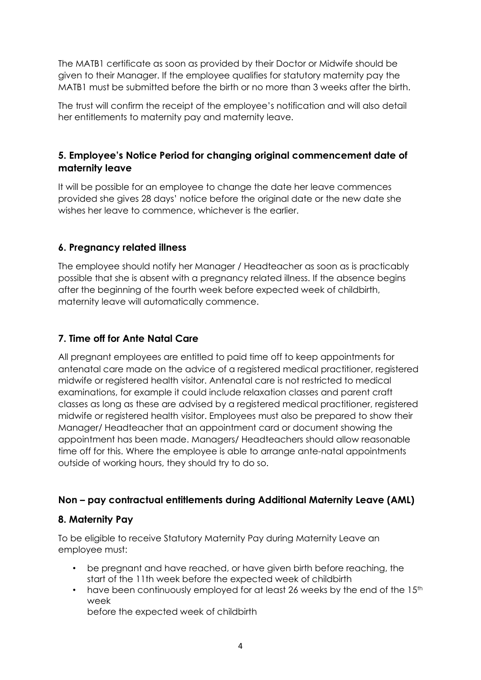The MATB1 certificate as soon as provided by their Doctor or Midwife should be given to their Manager. If the employee qualifies for statutory maternity pay the MATB1 must be submitted before the birth or no more than 3 weeks after the birth.

The trust will confirm the receipt of the employee's notification and will also detail her entitlements to maternity pay and maternity leave.

## **5. Employee's Notice Period for changing original commencement date of maternity leave**

It will be possible for an employee to change the date her leave commences provided she gives 28 days' notice before the original date or the new date she wishes her leave to commence, whichever is the earlier.

## **6. Pregnancy related illness**

The employee should notify her Manager / Headteacher as soon as is practicably possible that she is absent with a pregnancy related illness. If the absence begins after the beginning of the fourth week before expected week of childbirth, maternity leave will automatically commence.

## **7. Time off for Ante Natal Care**

All pregnant employees are entitled to paid time off to keep appointments for antenatal care made on the advice of a registered medical practitioner, registered midwife or registered health visitor. Antenatal care is not restricted to medical examinations, for example it could include relaxation classes and parent craft classes as long as these are advised by a registered medical practitioner, registered midwife or registered health visitor. Employees must also be prepared to show their Manager/ Headteacher that an appointment card or document showing the appointment has been made. Managers/ Headteachers should allow reasonable time off for this. Where the employee is able to arrange ante-natal appointments outside of working hours, they should try to do so.

## **Non – pay contractual entitlements during Additional Maternity Leave (AML)**

## **8. Maternity Pay**

To be eligible to receive Statutory Maternity Pay during Maternity Leave an employee must:

- be pregnant and have reached, or have given birth before reaching, the start of the 11th week before the expected week of childbirth
- have been continuously employed for at least 26 weeks by the end of the 15<sup>th</sup> week

before the expected week of childbirth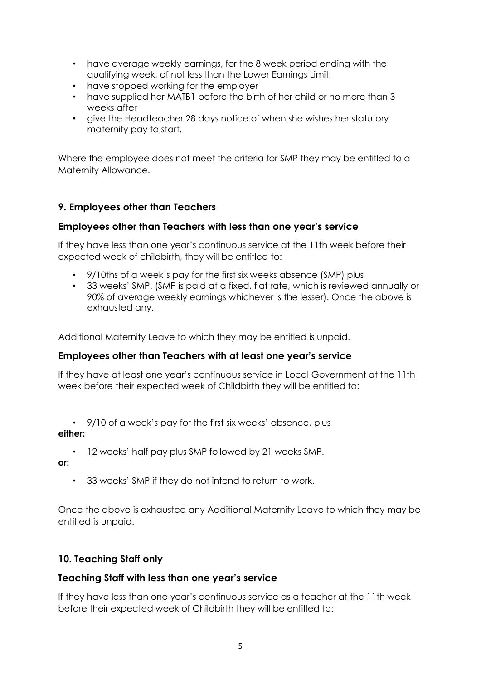- have average weekly earnings, for the 8 week period ending with the qualifying week, of not less than the Lower Earnings Limit.
- have stopped working for the employer
- have supplied her MATB1 before the birth of her child or no more than 3 weeks after
- give the Headteacher 28 days notice of when she wishes her statutory maternity pay to start.

Where the employee does not meet the criteria for SMP they may be entitled to a Maternity Allowance.

## **9. Employees other than Teachers**

#### **Employees other than Teachers with less than one year's service**

If they have less than one year's continuous service at the 11th week before their expected week of childbirth, they will be entitled to:

- 9/10ths of a week's pay for the first six weeks absence (SMP) plus
- 33 weeks' SMP. (SMP is paid at a fixed, flat rate, which is reviewed annually or 90% of average weekly earnings whichever is the lesser). Once the above is exhausted any.

Additional Maternity Leave to which they may be entitled is unpaid.

#### **Employees other than Teachers with at least one year's service**

If they have at least one year's continuous service in Local Government at the 11th week before their expected week of Childbirth they will be entitled to:

• 9/10 of a week's pay for the first six weeks' absence, plus

#### **either:**

• 12 weeks' half pay plus SMP followed by 21 weeks SMP.

**or:**

33 weeks' SMP if they do not intend to return to work.

Once the above is exhausted any Additional Maternity Leave to which they may be entitled is unpaid.

## **10. Teaching Staff only**

## **Teaching Staff with less than one year's service**

If they have less than one year's continuous service as a teacher at the 11th week before their expected week of Childbirth they will be entitled to: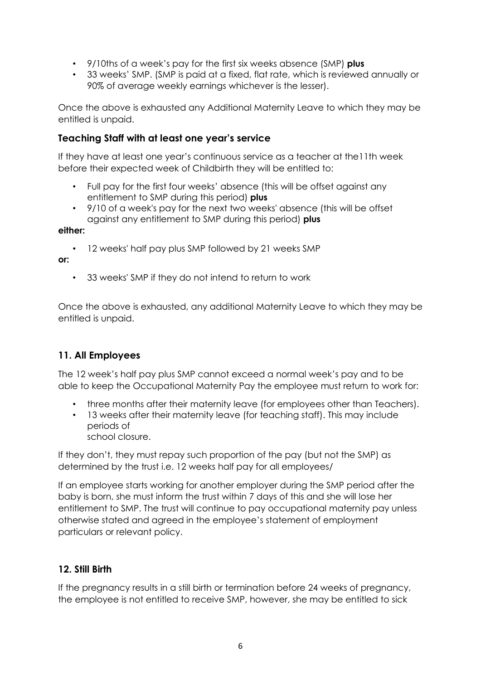- 9/10ths of a week's pay for the first six weeks absence (SMP) **plus**
- 33 weeks' SMP. (SMP is paid at a fixed, flat rate, which is reviewed annually or 90% of average weekly earnings whichever is the lesser).

Once the above is exhausted any Additional Maternity Leave to which they may be entitled is unpaid.

#### **Teaching Staff with at least one year's service**

If they have at least one year's continuous service as a teacher at the11th week before their expected week of Childbirth they will be entitled to:

- Full pay for the first four weeks' absence (this will be offset against any entitlement to SMP during this period) **plus**
- 9/10 of a week's pay for the next two weeks' absence (this will be offset against any entitlement to SMP during this period) **plus**

**either:**

• 12 weeks' half pay plus SMP followed by 21 weeks SMP

**or:**

• 33 weeks' SMP if they do not intend to return to work

Once the above is exhausted, any additional Maternity Leave to which they may be entitled is unpaid.

## **11. All Employees**

The 12 week's half pay plus SMP cannot exceed a normal week's pay and to be able to keep the Occupational Maternity Pay the employee must return to work for:

- three months after their maternity leave (for employees other than Teachers).
- 13 weeks after their maternity leave (for teaching staff). This may include periods of
	- school closure.

If they don't, they must repay such proportion of the pay (but not the SMP) as determined by the trust i.e. 12 weeks half pay for all employees/

If an employee starts working for another employer during the SMP period after the baby is born, she must inform the trust within 7 days of this and she will lose her entitlement to SMP. The trust will continue to pay occupational maternity pay unless otherwise stated and agreed in the employee's statement of employment particulars or relevant policy.

## **12. Still Birth**

If the pregnancy results in a still birth or termination before 24 weeks of pregnancy, the employee is not entitled to receive SMP, however, she may be entitled to sick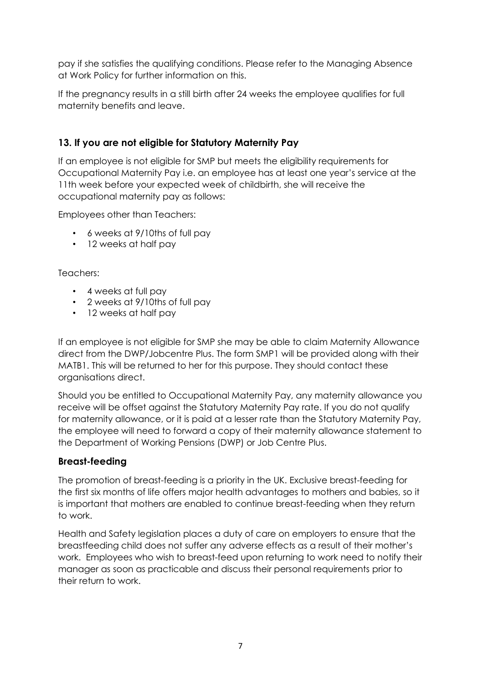pay if she satisfies the qualifying conditions. Please refer to the Managing Absence at Work Policy for further information on this.

If the pregnancy results in a still birth after 24 weeks the employee qualifies for full maternity benefits and leave.

## **13. If you are not eligible for Statutory Maternity Pay**

If an employee is not eligible for SMP but meets the eligibility requirements for Occupational Maternity Pay i.e. an employee has at least one year's service at the 11th week before your expected week of childbirth, she will receive the occupational maternity pay as follows:

Employees other than Teachers:

- 6 weeks at 9/10ths of full pay
- 12 weeks at half pay

Teachers:

- 4 weeks at full pay
- 2 weeks at 9/10ths of full pay
- 12 weeks at half pay

If an employee is not eligible for SMP she may be able to claim Maternity Allowance direct from the DWP/Jobcentre Plus. The form SMP1 will be provided along with their MATB1. This will be returned to her for this purpose. They should contact these organisations direct.

Should you be entitled to Occupational Maternity Pay, any maternity allowance you receive will be offset against the Statutory Maternity Pay rate. If you do not qualify for maternity allowance, or it is paid at a lesser rate than the Statutory Maternity Pay, the employee will need to forward a copy of their maternity allowance statement to the Department of Working Pensions (DWP) or Job Centre Plus.

## **Breast-feeding**

The promotion of breast-feeding is a priority in the UK. Exclusive breast-feeding for the first six months of life offers major health advantages to mothers and babies, so it is important that mothers are enabled to continue breast-feeding when they return to work.

Health and Safety legislation places a duty of care on employers to ensure that the breastfeeding child does not suffer any adverse effects as a result of their mother's work. Employees who wish to breast-feed upon returning to work need to notify their manager as soon as practicable and discuss their personal requirements prior to their return to work.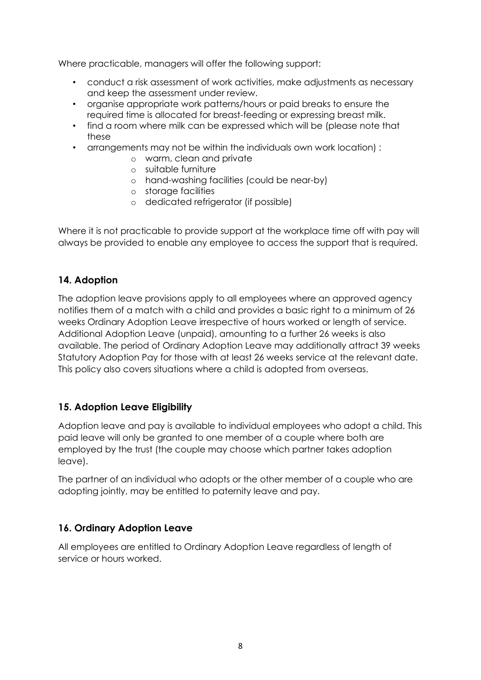Where practicable, managers will offer the following support:

- conduct a risk assessment of work activities, make adjustments as necessary and keep the assessment under review.
- organise appropriate work patterns/hours or paid breaks to ensure the required time is allocated for breast-feeding or expressing breast milk.
- find a room where milk can be expressed which will be (please note that these
- arrangements may not be within the individuals own work location) :
	- o warm, clean and private
	- o suitable furniture
	- o hand-washing facilities (could be near-by)
	- o storage facilities
	- o dedicated refrigerator (if possible)

Where it is not practicable to provide support at the workplace time off with pay will always be provided to enable any employee to access the support that is required.

#### **14. Adoption**

The adoption leave provisions apply to all employees where an approved agency notifies them of a match with a child and provides a basic right to a minimum of 26 weeks Ordinary Adoption Leave irrespective of hours worked or length of service. Additional Adoption Leave (unpaid), amounting to a further 26 weeks is also available. The period of Ordinary Adoption Leave may additionally attract 39 weeks Statutory Adoption Pay for those with at least 26 weeks service at the relevant date. This policy also covers situations where a child is adopted from overseas.

## **15. Adoption Leave Eligibility**

Adoption leave and pay is available to individual employees who adopt a child. This paid leave will only be granted to one member of a couple where both are employed by the trust (the couple may choose which partner takes adoption leave).

The partner of an individual who adopts or the other member of a couple who are adopting jointly, may be entitled to paternity leave and pay.

#### **16. Ordinary Adoption Leave**

All employees are entitled to Ordinary Adoption Leave regardless of length of service or hours worked.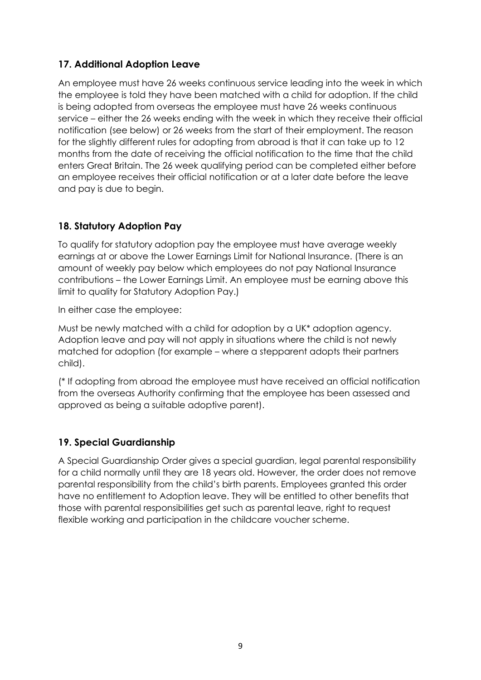## **17. Additional Adoption Leave**

An employee must have 26 weeks continuous service leading into the week in which the employee is told they have been matched with a child for adoption. If the child is being adopted from overseas the employee must have 26 weeks continuous service – either the 26 weeks ending with the week in which they receive their official notification (see below) or 26 weeks from the start of their employment. The reason for the slightly different rules for adopting from abroad is that it can take up to 12 months from the date of receiving the official notification to the time that the child enters Great Britain. The 26 week qualifying period can be completed either before an employee receives their official notification or at a later date before the leave and pay is due to begin.

## **18. Statutory Adoption Pay**

To qualify for statutory adoption pay the employee must have average weekly earnings at or above the Lower Earnings Limit for National Insurance. (There is an amount of weekly pay below which employees do not pay National Insurance contributions – the Lower Earnings Limit. An employee must be earning above this limit to quality for Statutory Adoption Pay.)

In either case the employee:

Must be newly matched with a child for adoption by a UK\* adoption agency. Adoption leave and pay will not apply in situations where the child is not newly matched for adoption (for example – where a stepparent adopts their partners child).

(\* If adopting from abroad the employee must have received an official notification from the overseas Authority confirming that the employee has been assessed and approved as being a suitable adoptive parent).

## **19. Special Guardianship**

A Special Guardianship Order gives a special guardian, legal parental responsibility for a child normally until they are 18 years old. However, the order does not remove parental responsibility from the child's birth parents. Employees granted this order have no entitlement to Adoption leave. They will be entitled to other benefits that those with parental responsibilities get such as parental leave, right to request flexible working and participation in the childcare voucher scheme.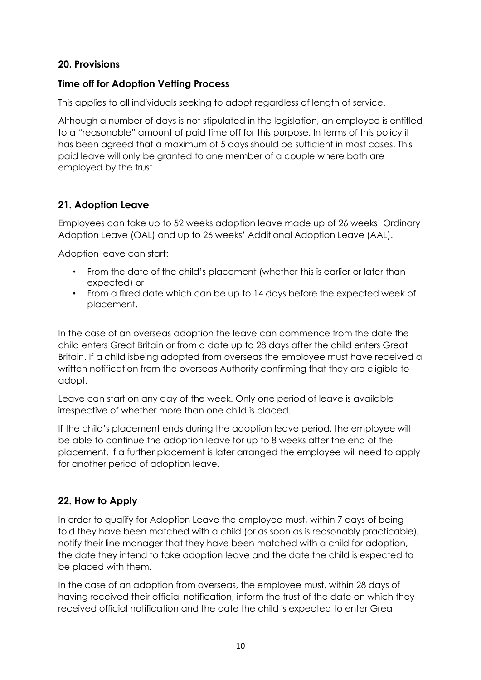## **20. Provisions**

## **Time off for Adoption Vetting Process**

This applies to all individuals seeking to adopt regardless of length of service.

Although a number of days is not stipulated in the legislation, an employee is entitled to a "reasonable" amount of paid time off for this purpose. In terms of this policy it has been agreed that a maximum of 5 days should be sufficient in most cases. This paid leave will only be granted to one member of a couple where both are employed by the trust.

## **21. Adoption Leave**

Employees can take up to 52 weeks adoption leave made up of 26 weeks' Ordinary Adoption Leave (OAL) and up to 26 weeks' Additional Adoption Leave (AAL).

Adoption leave can start:

- From the date of the child's placement (whether this is earlier or later than expected) or
- From a fixed date which can be up to 14 days before the expected week of placement.

In the case of an overseas adoption the leave can commence from the date the child enters Great Britain or from a date up to 28 days after the child enters Great Britain. If a child isbeing adopted from overseas the employee must have received a written notification from the overseas Authority confirming that they are eligible to adopt.

Leave can start on any day of the week. Only one period of leave is available irrespective of whether more than one child is placed.

If the child's placement ends during the adoption leave period, the employee will be able to continue the adoption leave for up to 8 weeks after the end of the placement. If a further placement is later arranged the employee will need to apply for another period of adoption leave.

## **22. How to Apply**

In order to qualify for Adoption Leave the employee must, within 7 days of being told they have been matched with a child (or as soon as is reasonably practicable), notify their line manager that they have been matched with a child for adoption, the date they intend to take adoption leave and the date the child is expected to be placed with them.

In the case of an adoption from overseas, the employee must, within 28 days of having received their official notification, inform the trust of the date on which they received official notification and the date the child is expected to enter Great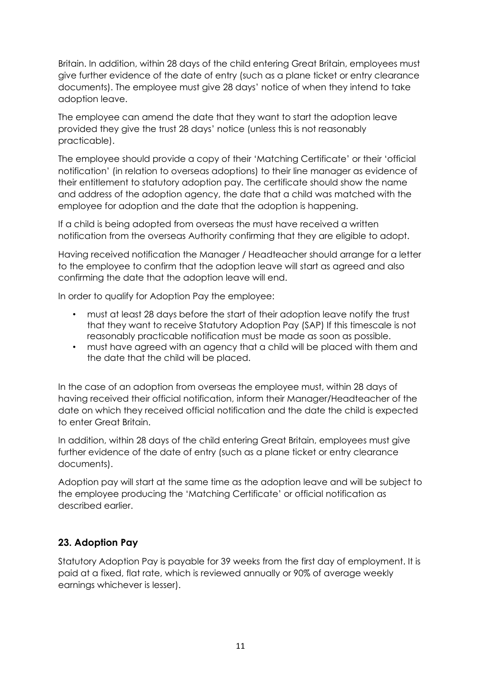Britain. In addition, within 28 days of the child entering Great Britain, employees must give further evidence of the date of entry (such as a plane ticket or entry clearance documents). The employee must give 28 days' notice of when they intend to take adoption leave.

The employee can amend the date that they want to start the adoption leave provided they give the trust 28 days' notice (unless this is not reasonably practicable).

The employee should provide a copy of their 'Matching Certificate' or their 'official notification' (in relation to overseas adoptions) to their line manager as evidence of their entitlement to statutory adoption pay. The certificate should show the name and address of the adoption agency, the date that a child was matched with the employee for adoption and the date that the adoption is happening.

If a child is being adopted from overseas the must have received a written notification from the overseas Authority confirming that they are eligible to adopt.

Having received notification the Manager / Headteacher should arrange for a letter to the employee to confirm that the adoption leave will start as agreed and also confirming the date that the adoption leave will end.

In order to qualify for Adoption Pay the employee:

- must at least 28 days before the start of their adoption leave notify the trust that they want to receive Statutory Adoption Pay (SAP) If this timescale is not reasonably practicable notification must be made as soon as possible.
- must have agreed with an agency that a child will be placed with them and the date that the child will be placed.

In the case of an adoption from overseas the employee must, within 28 days of having received their official notification, inform their Manager/Headteacher of the date on which they received official notification and the date the child is expected to enter Great Britain.

In addition, within 28 days of the child entering Great Britain, employees must give further evidence of the date of entry (such as a plane ticket or entry clearance documents).

Adoption pay will start at the same time as the adoption leave and will be subject to the employee producing the 'Matching Certificate' or official notification as described earlier.

## **23. Adoption Pay**

Statutory Adoption Pay is payable for 39 weeks from the first day of employment. It is paid at a fixed, flat rate, which is reviewed annually or 90% of average weekly earnings whichever is lesser).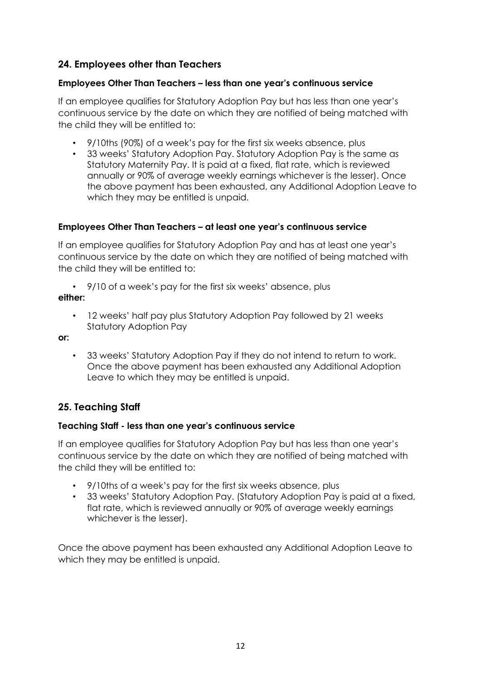## **24. Employees other than Teachers**

#### **Employees Other Than Teachers – less than one year's continuous service**

If an employee qualifies for Statutory Adoption Pay but has less than one year's continuous service by the date on which they are notified of being matched with the child they will be entitled to:

- 9/10ths (90%) of a week's pay for the first six weeks absence, plus
- 33 weeks' Statutory Adoption Pay. Statutory Adoption Pay is the same as Statutory Maternity Pay. It is paid at a fixed, flat rate, which is reviewed annually or 90% of average weekly earnings whichever is the lesser). Once the above payment has been exhausted, any Additional Adoption Leave to which they may be entitled is unpaid.

#### **Employees Other Than Teachers – at least one year's continuous service**

If an employee qualifies for Statutory Adoption Pay and has at least one year's continuous service by the date on which they are notified of being matched with the child they will be entitled to:

• 9/10 of a week's pay for the first six weeks' absence, plus **either:**

• 12 weeks' half pay plus Statutory Adoption Pay followed by 21 weeks Statutory Adoption Pay

**or:**

• 33 weeks' Statutory Adoption Pay if they do not intend to return to work. Once the above payment has been exhausted any Additional Adoption Leave to which they may be entitled is unpaid.

## **25. Teaching Staff**

#### **Teaching Staff - less than one year's continuous service**

If an employee qualifies for Statutory Adoption Pay but has less than one year's continuous service by the date on which they are notified of being matched with the child they will be entitled to:

- 9/10ths of a week's pay for the first six weeks absence, plus
- 33 weeks' Statutory Adoption Pay. (Statutory Adoption Pay is paid at a fixed, flat rate, which is reviewed annually or 90% of average weekly earnings whichever is the lesser).

Once the above payment has been exhausted any Additional Adoption Leave to which they may be entitled is unpaid.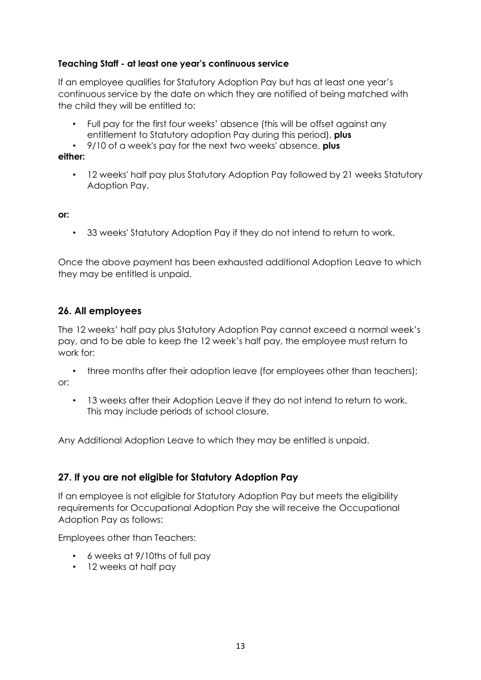#### **Teaching Staff - at least one year's continuous service**

If an employee qualifies for Statutory Adoption Pay but has at least one year's continuous service by the date on which they are notified of being matched with the child they will be entitled to:

- Full pay for the first four weeks' absence (this will be offset against any entitlement to Statutory adoption Pay during this period), **plus**
- 9/10 of a week's pay for the next two weeks' absence, **plus**

#### **either:**

• 12 weeks' half pay plus Statutory Adoption Pay followed by 21 weeks Statutory Adoption Pay.

#### **or:**

• 33 weeks' Statutory Adoption Pay if they do not intend to return to work.

Once the above payment has been exhausted additional Adoption Leave to which they may be entitled is unpaid.

## **26. All employees**

The 12 weeks' half pay plus Statutory Adoption Pay cannot exceed a normal week's pay, and to be able to keep the 12 week's half pay, the employee must return to work for:

• three months after their adoption leave (for employees other than teachers); or:

• 13 weeks after their Adoption Leave if they do not intend to return to work. This may include periods of school closure.

Any Additional Adoption Leave to which they may be entitled is unpaid.

## **27. If you are not eligible for Statutory Adoption Pay**

If an employee is not eligible for Statutory Adoption Pay but meets the eligibility requirements for Occupational Adoption Pay she will receive the Occupational Adoption Pay as follows:

Employees other than Teachers:

- 6 weeks at 9/10ths of full pay
- 12 weeks at half pay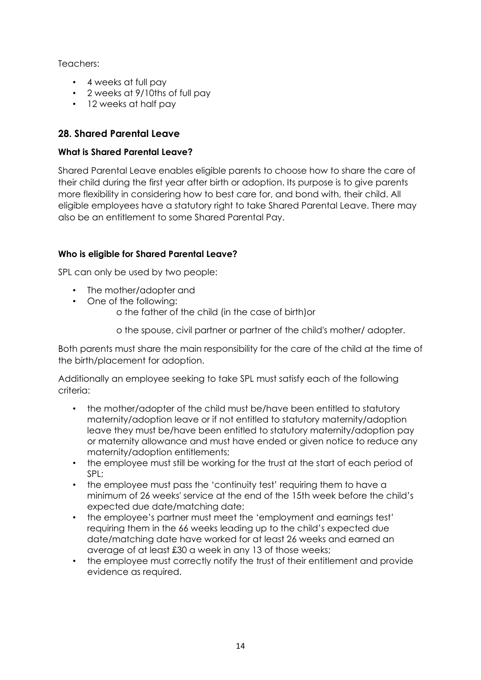Teachers:

- 4 weeks at full pay
- 2 weeks at 9/10ths of full pay
- 12 weeks at half pay

## **28. Shared Parental Leave**

#### **What is Shared Parental Leave?**

Shared Parental Leave enables eligible parents to choose how to share the care of their child during the first year after birth or adoption. Its purpose is to give parents more flexibility in considering how to best care for, and bond with, their child. All eligible employees have a statutory right to take Shared Parental Leave. There may also be an entitlement to some Shared Parental Pay.

## **Who is eligible for Shared Parental Leave?**

SPL can only be used by two people:

- The mother/adopter and
- One of the following:
	- o the father of the child (in the case of birth)or
	- o the spouse, civil partner or partner of the child's mother/ adopter.

Both parents must share the main responsibility for the care of the child at the time of the birth/placement for adoption.

Additionally an employee seeking to take SPL must satisfy each of the following criteria:

- the mother/adopter of the child must be/have been entitled to statutory maternity/adoption leave or if not entitled to statutory maternity/adoption leave they must be/have been entitled to statutory maternity/adoption pay or maternity allowance and must have ended or given notice to reduce any maternity/adoption entitlements;
- the employee must still be working for the trust at the start of each period of SPL;
- the employee must pass the 'continuity test' requiring them to have a minimum of 26 weeks' service at the end of the 15th week before the child's expected due date/matching date;
- the employee's partner must meet the 'employment and earnings test' requiring them in the 66 weeks leading up to the child's expected due date/matching date have worked for at least 26 weeks and earned an average of at least £30 a week in any 13 of those weeks;
- the employee must correctly notify the trust of their entitlement and provide evidence as required.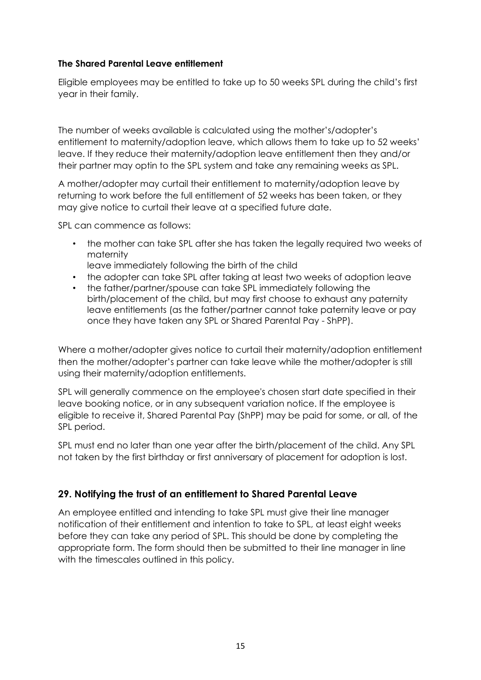#### **The Shared Parental Leave entitlement**

Eligible employees may be entitled to take up to 50 weeks SPL during the child's first year in their family.

The number of weeks available is calculated using the mother's/adopter's entitlement to maternity/adoption leave, which allows them to take up to 52 weeks' leave. If they reduce their maternity/adoption leave entitlement then they and/or their partner may optin to the SPL system and take any remaining weeks as SPL.

A mother/adopter may curtail their entitlement to maternity/adoption leave by returning to work before the full entitlement of 52 weeks has been taken, or they may give notice to curtail their leave at a specified future date.

SPL can commence as follows:

- the mother can take SPL after she has taken the legally required two weeks of maternity
- leave immediately following the birth of the child
- the adopter can take SPL after taking at least two weeks of adoption leave
- the father/partner/spouse can take SPL immediately following the birth/placement of the child, but may first choose to exhaust any paternity leave entitlements (as the father/partner cannot take paternity leave or pay once they have taken any SPL or Shared Parental Pay - ShPP).

Where a mother/adopter gives notice to curtail their maternity/adoption entitlement then the mother/adopter's partner can take leave while the mother/adopter is still using their maternity/adoption entitlements.

SPL will generally commence on the employee's chosen start date specified in their leave booking notice, or in any subsequent variation notice. If the employee is eligible to receive it, Shared Parental Pay (ShPP) may be paid for some, or all, of the SPL period.

SPL must end no later than one year after the birth/placement of the child. Any SPL not taken by the first birthday or first anniversary of placement for adoption is lost.

## **29. Notifying the trust of an entitlement to Shared Parental Leave**

An employee entitled and intending to take SPL must give their line manager notification of their entitlement and intention to take to SPL, at least eight weeks before they can take any period of SPL. This should be done by completing the appropriate form. The form should then be submitted to their line manager in line with the timescales outlined in this policy.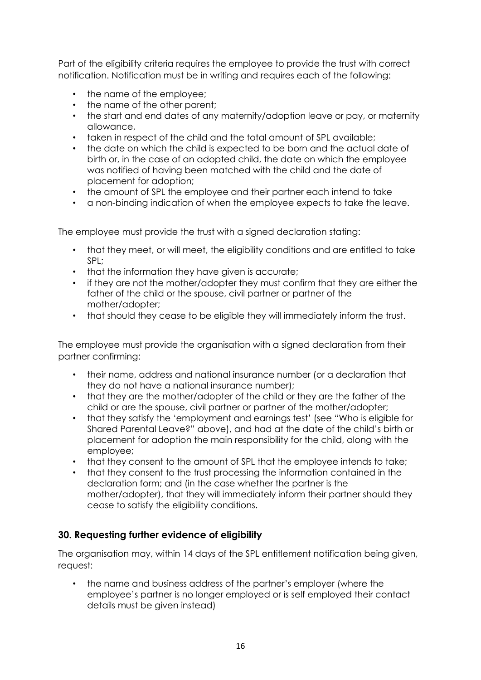Part of the eligibility criteria requires the employee to provide the trust with correct notification. Notification must be in writing and requires each of the following:

- the name of the employee;
- the name of the other parent;
- the start and end dates of any maternity/adoption leave or pay, or maternity allowance,
- taken in respect of the child and the total amount of SPL available;
- the date on which the child is expected to be born and the actual date of birth or, in the case of an adopted child, the date on which the employee was notified of having been matched with the child and the date of placement for adoption;
- the amount of SPL the employee and their partner each intend to take
- a non-binding indication of when the employee expects to take the leave.

The employee must provide the trust with a signed declaration stating:

- that they meet, or will meet, the eligibility conditions and are entitled to take SPL;
- that the information they have given is accurate:
- if they are not the mother/adopter they must confirm that they are either the father of the child or the spouse, civil partner or partner of the mother/adopter;
- that should they cease to be eligible they will immediately inform the trust.

The employee must provide the organisation with a signed declaration from their partner confirming:

- their name, address and national insurance number (or a declaration that they do not have a national insurance number);
- that they are the mother/adopter of the child or they are the father of the child or are the spouse, civil partner or partner of the mother/adopter;
- that they satisfy the 'employment and earnings test' (see "Who is eligible for Shared Parental Leave?" above), and had at the date of the child's birth or placement for adoption the main responsibility for the child, along with the employee;
- that they consent to the amount of SPL that the employee intends to take;
- that they consent to the trust processing the information contained in the declaration form; and (in the case whether the partner is the mother/adopter), that they will immediately inform their partner should they cease to satisfy the eligibility conditions.

## **30. Requesting further evidence of eligibility**

The organisation may, within 14 days of the SPL entitlement notification being given, request:

• the name and business address of the partner's employer (where the employee's partner is no longer employed or is self employed their contact details must be given instead)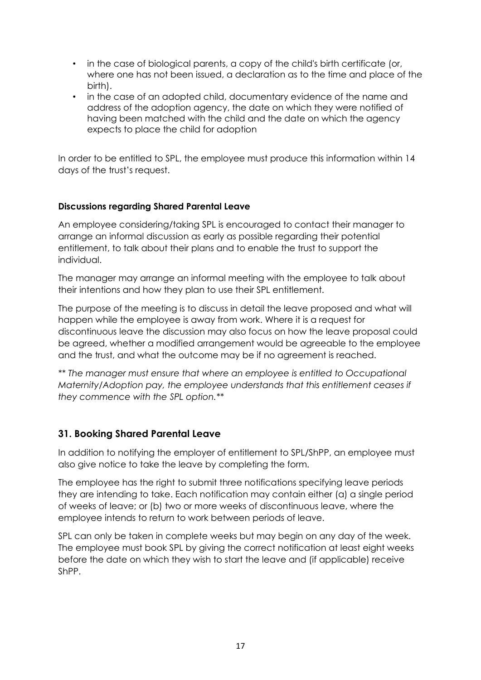- in the case of biological parents, a copy of the child's birth certificate (or, where one has not been issued, a declaration as to the time and place of the birth).
- in the case of an adopted child, documentary evidence of the name and address of the adoption agency, the date on which they were notified of having been matched with the child and the date on which the agency expects to place the child for adoption

In order to be entitled to SPL, the employee must produce this information within 14 days of the trust's request.

#### **Discussions regarding Shared Parental Leave**

An employee considering/taking SPL is encouraged to contact their manager to arrange an informal discussion as early as possible regarding their potential entitlement, to talk about their plans and to enable the trust to support the individual.

The manager may arrange an informal meeting with the employee to talk about their intentions and how they plan to use their SPL entitlement.

The purpose of the meeting is to discuss in detail the leave proposed and what will happen while the employee is away from work. Where it is a request for discontinuous leave the discussion may also focus on how the leave proposal could be agreed, whether a modified arrangement would be agreeable to the employee and the trust, and what the outcome may be if no agreement is reached.

*\*\* The manager must ensure that where an employee is entitled to Occupational Maternity/Adoption pay, the employee understands that this entitlement ceases if they commence with the SPL option.\*\**

## **31. Booking Shared Parental Leave**

In addition to notifying the employer of entitlement to SPL/ShPP, an employee must also give notice to take the leave by completing the form.

The employee has the right to submit three notifications specifying leave periods they are intending to take. Each notification may contain either (a) a single period of weeks of leave; or (b) two or more weeks of discontinuous leave, where the employee intends to return to work between periods of leave.

SPL can only be taken in complete weeks but may begin on any day of the week. The employee must book SPL by giving the correct notification at least eight weeks before the date on which they wish to start the leave and (if applicable) receive ShPP.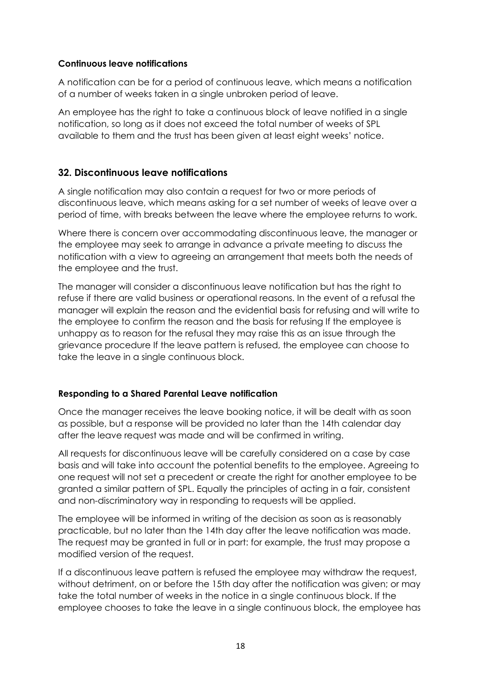#### **Continuous leave notifications**

A notification can be for a period of continuous leave, which means a notification of a number of weeks taken in a single unbroken period of leave.

An employee has the right to take a continuous block of leave notified in a single notification, so long as it does not exceed the total number of weeks of SPL available to them and the trust has been given at least eight weeks' notice.

#### **32. Discontinuous leave notifications**

A single notification may also contain a request for two or more periods of discontinuous leave, which means asking for a set number of weeks of leave over a period of time, with breaks between the leave where the employee returns to work.

Where there is concern over accommodating discontinuous leave, the manager or the employee may seek to arrange in advance a private meeting to discuss the notification with a view to agreeing an arrangement that meets both the needs of the employee and the trust.

The manager will consider a discontinuous leave notification but has the right to refuse if there are valid business or operational reasons. In the event of a refusal the manager will explain the reason and the evidential basis for refusing and will write to the employee to confirm the reason and the basis for refusing If the employee is unhappy as to reason for the refusal they may raise this as an issue through the grievance procedure If the leave pattern is refused, the employee can choose to take the leave in a single continuous block.

#### **Responding to a Shared Parental Leave notification**

Once the manager receives the leave booking notice, it will be dealt with as soon as possible, but a response will be provided no later than the 14th calendar day after the leave request was made and will be confirmed in writing.

All requests for discontinuous leave will be carefully considered on a case by case basis and will take into account the potential benefits to the employee. Agreeing to one request will not set a precedent or create the right for another employee to be granted a similar pattern of SPL. Equally the principles of acting in a fair, consistent and non-discriminatory way in responding to requests will be applied.

The employee will be informed in writing of the decision as soon as is reasonably practicable, but no later than the 14th day after the leave notification was made. The request may be granted in full or in part: for example, the trust may propose a modified version of the request.

If a discontinuous leave pattern is refused the employee may withdraw the request, without detriment, on or before the 15th day after the notification was given; or may take the total number of weeks in the notice in a single continuous block. If the employee chooses to take the leave in a single continuous block, the employee has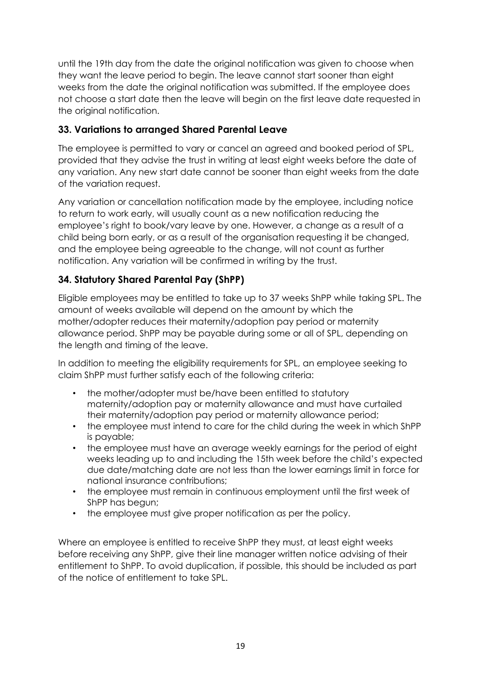until the 19th day from the date the original notification was given to choose when they want the leave period to begin. The leave cannot start sooner than eight weeks from the date the original notification was submitted. If the employee does not choose a start date then the leave will begin on the first leave date requested in the original notification.

## **33. Variations to arranged Shared Parental Leave**

The employee is permitted to vary or cancel an agreed and booked period of SPL, provided that they advise the trust in writing at least eight weeks before the date of any variation. Any new start date cannot be sooner than eight weeks from the date of the variation request.

Any variation or cancellation notification made by the employee, including notice to return to work early, will usually count as a new notification reducing the employee's right to book/vary leave by one. However, a change as a result of a child being born early, or as a result of the organisation requesting it be changed, and the employee being agreeable to the change, will not count as further notification. Any variation will be confirmed in writing by the trust.

## **34. Statutory Shared Parental Pay (ShPP)**

Eligible employees may be entitled to take up to 37 weeks ShPP while taking SPL. The amount of weeks available will depend on the amount by which the mother/adopter reduces their maternity/adoption pay period or maternity allowance period. ShPP may be payable during some or all of SPL, depending on the length and timing of the leave.

In addition to meeting the eligibility requirements for SPL, an employee seeking to claim ShPP must further satisfy each of the following criteria:

- the mother/adopter must be/have been entitled to statutory maternity/adoption pay or maternity allowance and must have curtailed their maternity/adoption pay period or maternity allowance period;
- the employee must intend to care for the child during the week in which ShPP is payable;
- the employee must have an average weekly earnings for the period of eight weeks leading up to and including the 15th week before the child's expected due date/matching date are not less than the lower earnings limit in force for national insurance contributions;
- the employee must remain in continuous employment until the first week of ShPP has begun;
- the employee must give proper notification as per the policy.

Where an employee is entitled to receive ShPP they must, at least eight weeks before receiving any ShPP, give their line manager written notice advising of their entitlement to ShPP. To avoid duplication, if possible, this should be included as part of the notice of entitlement to take SPL.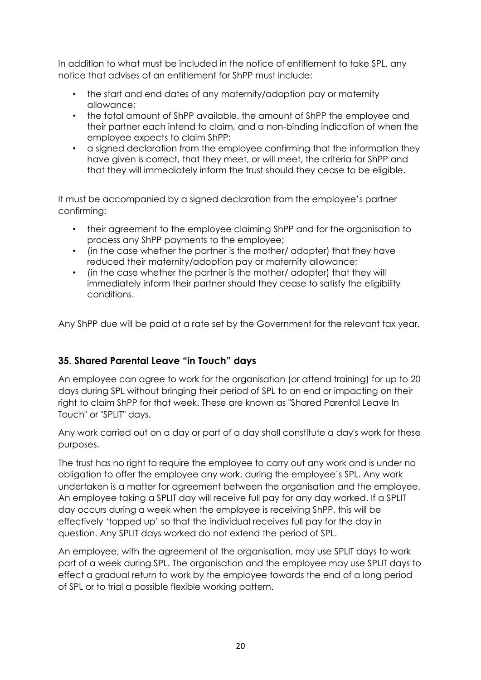In addition to what must be included in the notice of entitlement to take SPL, any notice that advises of an entitlement for ShPP must include:

- the start and end dates of any maternity/adoption pay or maternity allowance;
- the total amount of ShPP available, the amount of ShPP the employee and their partner each intend to claim, and a non-binding indication of when the employee expects to claim ShPP;
- a signed declaration from the employee confirming that the information they have given is correct, that they meet, or will meet, the criteria for ShPP and that they will immediately inform the trust should they cease to be eligible.

It must be accompanied by a signed declaration from the employee's partner confirming:

- their agreement to the employee claiming ShPP and for the organisation to process any ShPP payments to the employee;
- (in the case whether the partner is the mother/ adopter) that they have reduced their maternity/adoption pay or maternity allowance;
- (in the case whether the partner is the mother/ adopter) that they will immediately inform their partner should they cease to satisfy the eligibility conditions.

Any ShPP due will be paid at a rate set by the Government for the relevant tax year.

## **35. Shared Parental Leave "in Touch" days**

An employee can agree to work for the organisation (or attend training) for up to 20 days during SPL without bringing their period of SPL to an end or impacting on their right to claim ShPP for that week. These are known as "Shared Parental Leave In Touch" or "SPLIT" days.

Any work carried out on a day or part of a day shall constitute a day's work for these purposes.

The trust has no right to require the employee to carry out any work and is under no obligation to offer the employee any work, during the employee's SPL. Any work undertaken is a matter for agreement between the organisation and the employee. An employee taking a SPLIT day will receive full pay for any day worked. If a SPLIT day occurs during a week when the employee is receiving ShPP, this will be effectively 'topped up' so that the individual receives full pay for the day in question. Any SPLIT days worked do not extend the period of SPL.

An employee, with the agreement of the organisation, may use SPLIT days to work part of a week during SPL. The organisation and the employee may use SPLIT days to effect a gradual return to work by the employee towards the end of a long period of SPL or to trial a possible flexible working pattern.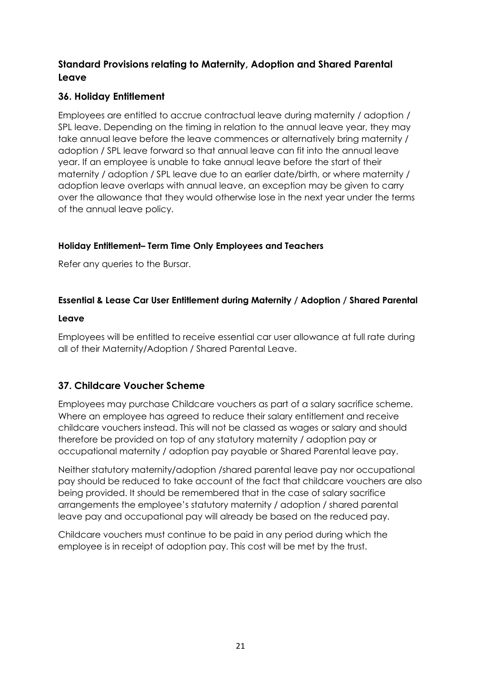## **Standard Provisions relating to Maternity, Adoption and Shared Parental Leave**

## **36. Holiday Entitlement**

Employees are entitled to accrue contractual leave during maternity / adoption / SPL leave. Depending on the timing in relation to the annual leave year, they may take annual leave before the leave commences or alternatively bring maternity / adoption / SPL leave forward so that annual leave can fit into the annual leave year. If an employee is unable to take annual leave before the start of their maternity / adoption / SPL leave due to an earlier date/birth, or where maternity / adoption leave overlaps with annual leave, an exception may be given to carry over the allowance that they would otherwise lose in the next year under the terms of the annual leave policy.

## **Holiday Entitlement– Term Time Only Employees and Teachers**

Refer any queries to the Bursar.

## **Essential & Lease Car User Entitlement during Maternity / Adoption / Shared Parental**

#### **Leave**

Employees will be entitled to receive essential car user allowance at full rate during all of their Maternity/Adoption / Shared Parental Leave.

## **37. Childcare Voucher Scheme**

Employees may purchase Childcare vouchers as part of a salary sacrifice scheme. Where an employee has agreed to reduce their salary entitlement and receive childcare vouchers instead. This will not be classed as wages or salary and should therefore be provided on top of any statutory maternity / adoption pay or occupational maternity / adoption pay payable or Shared Parental leave pay.

Neither statutory maternity/adoption /shared parental leave pay nor occupational pay should be reduced to take account of the fact that childcare vouchers are also being provided. It should be remembered that in the case of salary sacrifice arrangements the employee's statutory maternity / adoption / shared parental leave pay and occupational pay will already be based on the reduced pay.

Childcare vouchers must continue to be paid in any period during which the employee is in receipt of adoption pay. This cost will be met by the trust.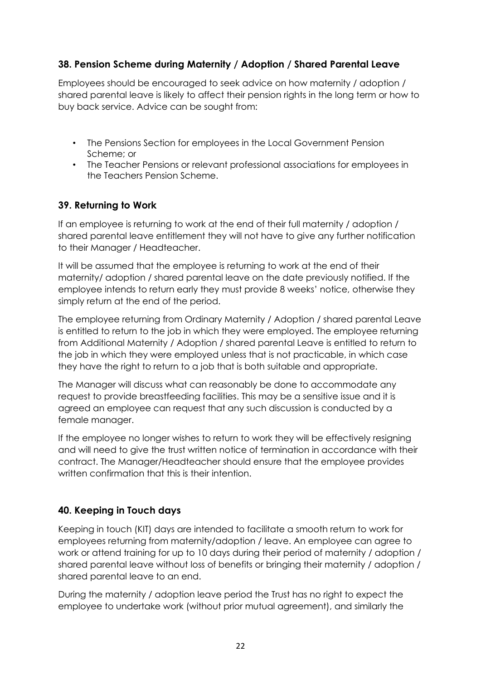## **38. Pension Scheme during Maternity / Adoption / Shared Parental Leave**

Employees should be encouraged to seek advice on how maternity / adoption / shared parental leave is likely to affect their pension rights in the long term or how to buy back service. Advice can be sought from:

- The Pensions Section for employees in the Local Government Pension Scheme; or
- The Teacher Pensions or relevant professional associations for employees in the Teachers Pension Scheme.

#### **39. Returning to Work**

If an employee is returning to work at the end of their full maternity / adoption / shared parental leave entitlement they will not have to give any further notification to their Manager / Headteacher.

It will be assumed that the employee is returning to work at the end of their maternity/ adoption / shared parental leave on the date previously notified. If the employee intends to return early they must provide 8 weeks' notice, otherwise they simply return at the end of the period.

The employee returning from Ordinary Maternity / Adoption / shared parental Leave is entitled to return to the job in which they were employed. The employee returning from Additional Maternity / Adoption / shared parental Leave is entitled to return to the job in which they were employed unless that is not practicable, in which case they have the right to return to a job that is both suitable and appropriate.

The Manager will discuss what can reasonably be done to accommodate any request to provide breastfeeding facilities. This may be a sensitive issue and it is agreed an employee can request that any such discussion is conducted by a female manager.

If the employee no longer wishes to return to work they will be effectively resigning and will need to give the trust written notice of termination in accordance with their contract. The Manager/Headteacher should ensure that the employee provides written confirmation that this is their intention.

## **40. Keeping in Touch days**

Keeping in touch (KIT) days are intended to facilitate a smooth return to work for employees returning from maternity/adoption / leave. An employee can agree to work or attend training for up to 10 days during their period of maternity / adoption / shared parental leave without loss of benefits or bringing their maternity / adoption / shared parental leave to an end.

During the maternity / adoption leave period the Trust has no right to expect the employee to undertake work (without prior mutual agreement), and similarly the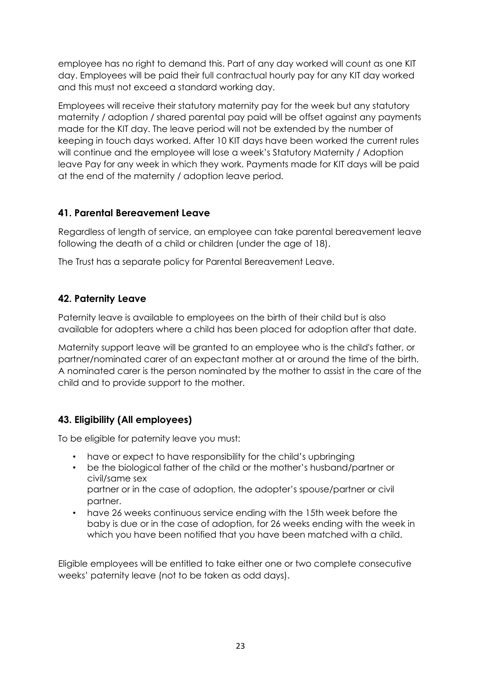employee has no right to demand this. Part of any day worked will count as one KIT day. Employees will be paid their full contractual hourly pay for any KIT day worked and this must not exceed a standard working day.

Employees will receive their statutory maternity pay for the week but any statutory maternity / adoption / shared parental pay paid will be offset against any payments made for the KIT day. The leave period will not be extended by the number of keeping in touch days worked. After 10 KIT days have been worked the current rules will continue and the employee will lose a week's Statutory Maternity / Adoption leave Pay for any week in which they work. Payments made for KIT days will be paid at the end of the maternity / adoption leave period.

## **41. Parental Bereavement Leave**

Regardless of length of service, an employee can take parental bereavement leave following the death of a child or children (under the age of 18).

The Trust has a separate policy for Parental Bereavement Leave.

## **42. Paternity Leave**

Paternity leave is available to employees on the birth of their child but is also available for adopters where a child has been placed for adoption after that date.

Maternity support leave will be granted to an employee who is the child's father, or partner/nominated carer of an expectant mother at or around the time of the birth. A nominated carer is the person nominated by the mother to assist in the care of the child and to provide support to the mother.

## **43. Eligibility (All employees)**

To be eligible for paternity leave you must:

- have or expect to have responsibility for the child's upbringing
- be the biological father of the child or the mother's husband/partner or civil/same sex
	- partner or in the case of adoption, the adopter's spouse/partner or civil partner.
- have 26 weeks continuous service ending with the 15th week before the baby is due or in the case of adoption, for 26 weeks ending with the week in which you have been notified that you have been matched with a child.

Eligible employees will be entitled to take either one or two complete consecutive weeks' paternity leave (not to be taken as odd days).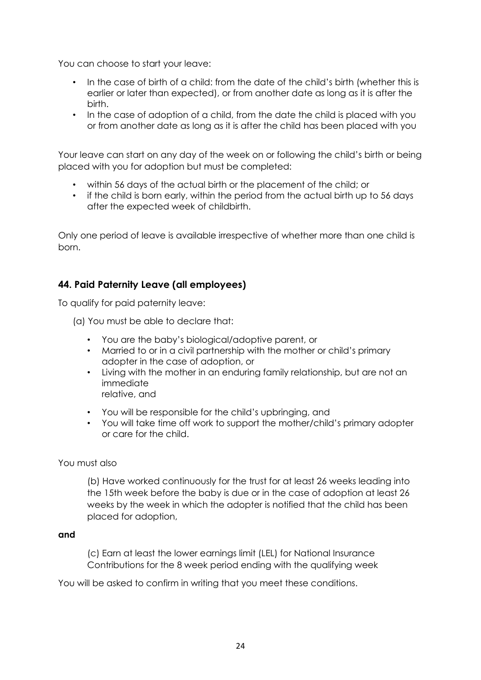You can choose to start your leave:

- In the case of birth of a child: from the date of the child's birth (whether this is earlier or later than expected), or from another date as long as it is after the birth.
- In the case of adoption of a child, from the date the child is placed with you or from another date as long as it is after the child has been placed with you

Your leave can start on any day of the week on or following the child's birth or being placed with you for adoption but must be completed:

- within 56 days of the actual birth or the placement of the child; or
- if the child is born early, within the period from the actual birth up to 56 days after the expected week of childbirth.

Only one period of leave is available irrespective of whether more than one child is born.

## **44. Paid Paternity Leave (all employees)**

To qualify for paid paternity leave:

(a) You must be able to declare that:

- You are the baby's biological/adoptive parent, or
- Married to or in a civil partnership with the mother or child's primary adopter in the case of adoption, or
- Living with the mother in an enduring family relationship, but are not an immediate relative, and
	-
- You will be responsible for the child's upbringing, and
- You will take time off work to support the mother/child's primary adopter or care for the child.

#### You must also

(b) Have worked continuously for the trust for at least 26 weeks leading into the 15th week before the baby is due or in the case of adoption at least 26 weeks by the week in which the adopter is notified that the child has been placed for adoption,

#### **and**

(c) Earn at least the lower earnings limit (LEL) for National Insurance Contributions for the 8 week period ending with the qualifying week

You will be asked to confirm in writing that you meet these conditions.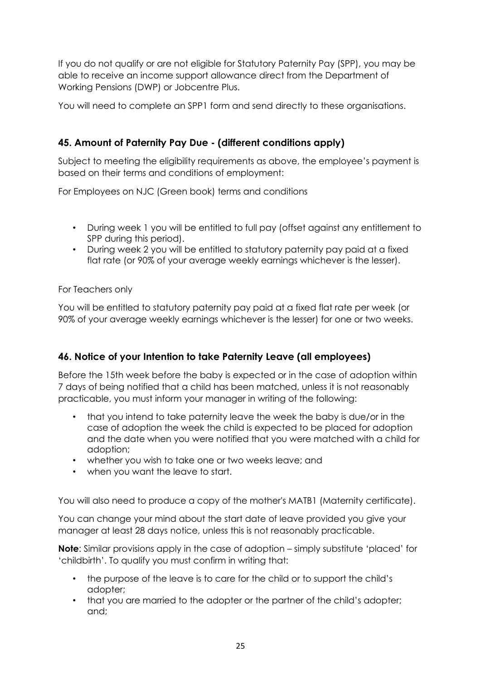If you do not qualify or are not eligible for Statutory Paternity Pay (SPP), you may be able to receive an income support allowance direct from the Department of Working Pensions (DWP) or Jobcentre Plus.

You will need to complete an SPP1 form and send directly to these organisations.

## **45. Amount of Paternity Pay Due - (different conditions apply)**

Subject to meeting the eligibility requirements as above, the employee's payment is based on their terms and conditions of employment:

For Employees on NJC (Green book) terms and conditions

- During week 1 you will be entitled to full pay (offset against any entitlement to SPP during this period).
- During week 2 you will be entitled to statutory paternity pay paid at a fixed flat rate (or 90% of your average weekly earnings whichever is the lesser).

For Teachers only

You will be entitled to statutory paternity pay paid at a fixed flat rate per week (or 90% of your average weekly earnings whichever is the lesser) for one or two weeks.

## **46. Notice of your Intention to take Paternity Leave (all employees)**

Before the 15th week before the baby is expected or in the case of adoption within 7 days of being notified that a child has been matched, unless it is not reasonably practicable, you must inform your manager in writing of the following:

- that you intend to take paternity leave the week the baby is due/or in the case of adoption the week the child is expected to be placed for adoption and the date when you were notified that you were matched with a child for adoption;
- whether you wish to take one or two weeks leave; and
- when you want the leave to start.

You will also need to produce a copy of the mother's MATB1 (Maternity certificate).

You can change your mind about the start date of leave provided you give your manager at least 28 days notice, unless this is not reasonably practicable.

**Note**: Similar provisions apply in the case of adoption – simply substitute 'placed' for 'childbirth'. To qualify you must confirm in writing that:

- the purpose of the leave is to care for the child or to support the child's adopter;
- that you are married to the adopter or the partner of the child's adopter; and;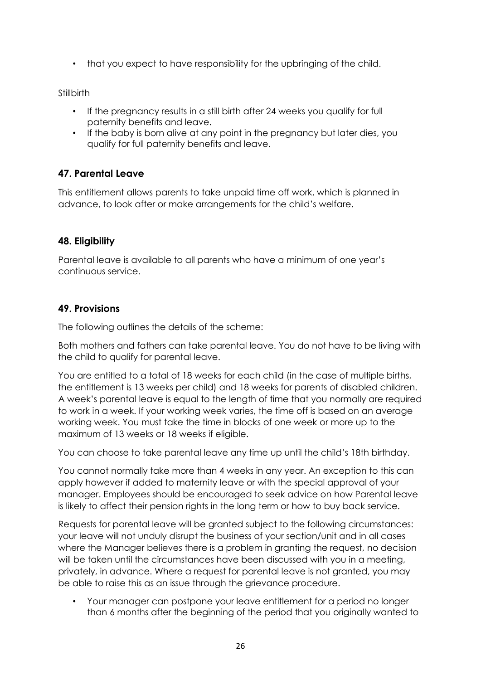• that you expect to have responsibility for the upbringing of the child.

#### **Stillbirth**

- If the pregnancy results in a still birth after 24 weeks you qualify for full paternity benefits and leave.
- If the baby is born alive at any point in the pregnancy but later dies, you qualify for full paternity benefits and leave.

## **47. Parental Leave**

This entitlement allows parents to take unpaid time off work, which is planned in advance, to look after or make arrangements for the child's welfare.

#### **48. Eligibility**

Parental leave is available to all parents who have a minimum of one year's continuous service.

#### **49. Provisions**

The following outlines the details of the scheme:

Both mothers and fathers can take parental leave. You do not have to be living with the child to qualify for parental leave.

You are entitled to a total of 18 weeks for each child (in the case of multiple births, the entitlement is 13 weeks per child) and 18 weeks for parents of disabled children. A week's parental leave is equal to the length of time that you normally are required to work in a week. If your working week varies, the time off is based on an average working week. You must take the time in blocks of one week or more up to the maximum of 13 weeks or 18 weeks if eligible.

You can choose to take parental leave any time up until the child's 18th birthday.

You cannot normally take more than 4 weeks in any year. An exception to this can apply however if added to maternity leave or with the special approval of your manager. Employees should be encouraged to seek advice on how Parental leave is likely to affect their pension rights in the long term or how to buy back service.

Requests for parental leave will be granted subject to the following circumstances: your leave will not unduly disrupt the business of your section/unit and in all cases where the Manager believes there is a problem in granting the request, no decision will be taken until the circumstances have been discussed with you in a meeting, privately, in advance. Where a request for parental leave is not granted, you may be able to raise this as an issue through the grievance procedure.

• Your manager can postpone your leave entitlement for a period no longer than 6 months after the beginning of the period that you originally wanted to